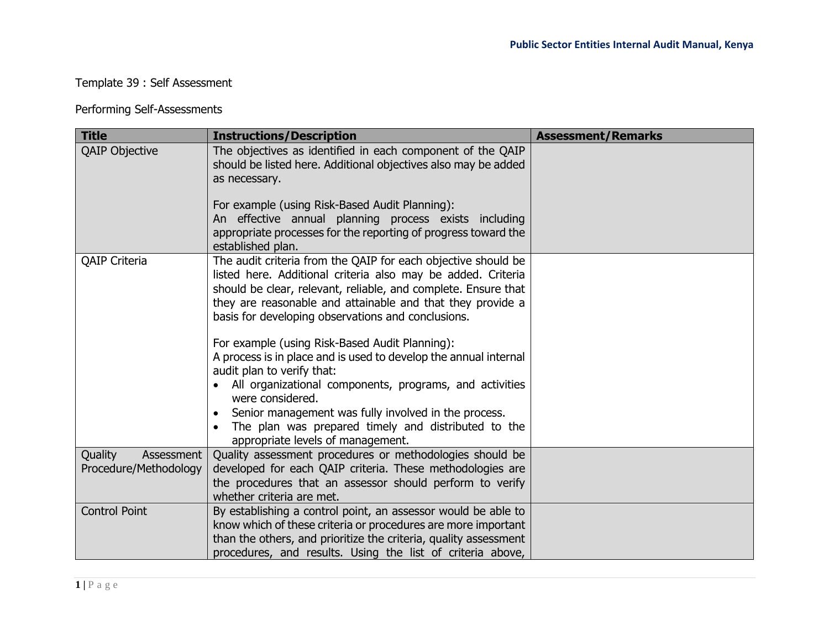## Template 39 : Self Assessment

## Performing Self-Assessments

| <b>Title</b>                                   | <b>Instructions/Description</b>                                                                                                                                                                                                                                                                                                                                                                                            | <b>Assessment/Remarks</b> |
|------------------------------------------------|----------------------------------------------------------------------------------------------------------------------------------------------------------------------------------------------------------------------------------------------------------------------------------------------------------------------------------------------------------------------------------------------------------------------------|---------------------------|
| <b>QAIP Objective</b>                          | The objectives as identified in each component of the QAIP<br>should be listed here. Additional objectives also may be added<br>as necessary.                                                                                                                                                                                                                                                                              |                           |
|                                                | For example (using Risk-Based Audit Planning):<br>An effective annual planning process exists including<br>appropriate processes for the reporting of progress toward the<br>established plan.                                                                                                                                                                                                                             |                           |
| <b>QAIP Criteria</b>                           | The audit criteria from the QAIP for each objective should be<br>listed here. Additional criteria also may be added. Criteria<br>should be clear, relevant, reliable, and complete. Ensure that<br>they are reasonable and attainable and that they provide a<br>basis for developing observations and conclusions.                                                                                                        |                           |
|                                                | For example (using Risk-Based Audit Planning):<br>A process is in place and is used to develop the annual internal<br>audit plan to verify that:<br>All organizational components, programs, and activities<br>$\bullet$<br>were considered.<br>Senior management was fully involved in the process.<br>$\bullet$<br>The plan was prepared timely and distributed to the<br>$\bullet$<br>appropriate levels of management. |                           |
| Quality<br>Assessment<br>Procedure/Methodology | Quality assessment procedures or methodologies should be<br>developed for each QAIP criteria. These methodologies are<br>the procedures that an assessor should perform to verify<br>whether criteria are met.                                                                                                                                                                                                             |                           |
| <b>Control Point</b>                           | By establishing a control point, an assessor would be able to<br>know which of these criteria or procedures are more important<br>than the others, and prioritize the criteria, quality assessment<br>procedures, and results. Using the list of criteria above,                                                                                                                                                           |                           |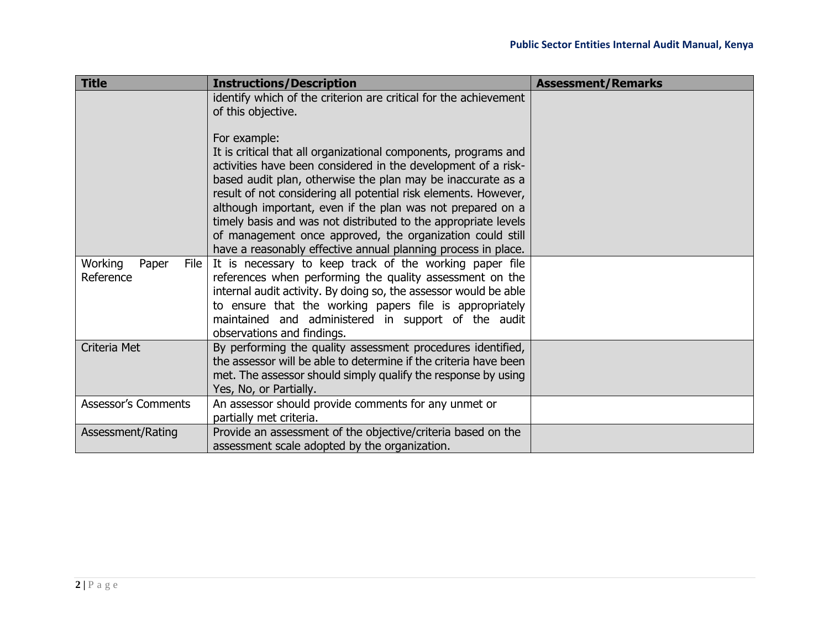| <b>Title</b>               | <b>Instructions/Description</b>                                                                                                   | <b>Assessment/Remarks</b> |
|----------------------------|-----------------------------------------------------------------------------------------------------------------------------------|---------------------------|
|                            | identify which of the criterion are critical for the achievement<br>of this objective.                                            |                           |
|                            | For example:                                                                                                                      |                           |
|                            | It is critical that all organizational components, programs and                                                                   |                           |
|                            | activities have been considered in the development of a risk-<br>based audit plan, otherwise the plan may be inaccurate as a      |                           |
|                            | result of not considering all potential risk elements. However,                                                                   |                           |
|                            | although important, even if the plan was not prepared on a                                                                        |                           |
|                            | timely basis and was not distributed to the appropriate levels                                                                    |                           |
|                            | of management once approved, the organization could still                                                                         |                           |
| Working<br>Paper<br>File   | have a reasonably effective annual planning process in place.<br>It is necessary to keep track of the working paper file          |                           |
| Reference                  | references when performing the quality assessment on the                                                                          |                           |
|                            | internal audit activity. By doing so, the assessor would be able                                                                  |                           |
|                            | to ensure that the working papers file is appropriately                                                                           |                           |
|                            | maintained and administered in support of the audit                                                                               |                           |
|                            | observations and findings.                                                                                                        |                           |
| Criteria Met               | By performing the quality assessment procedures identified,                                                                       |                           |
|                            | the assessor will be able to determine if the criteria have been<br>met. The assessor should simply qualify the response by using |                           |
|                            | Yes, No, or Partially.                                                                                                            |                           |
| <b>Assessor's Comments</b> | An assessor should provide comments for any unmet or                                                                              |                           |
|                            | partially met criteria.                                                                                                           |                           |
| Assessment/Rating          | Provide an assessment of the objective/criteria based on the                                                                      |                           |
|                            | assessment scale adopted by the organization.                                                                                     |                           |